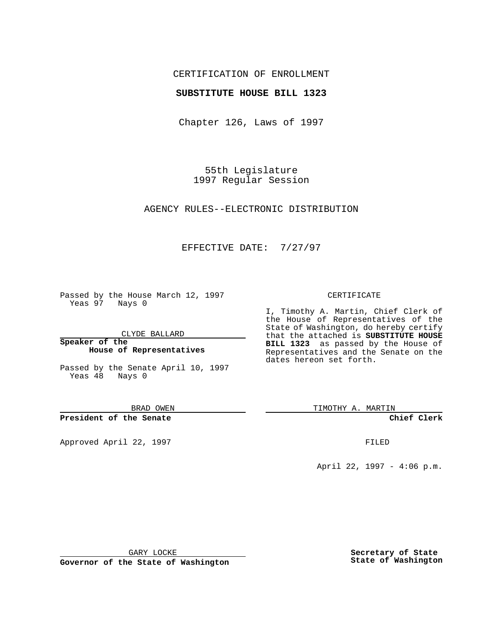## CERTIFICATION OF ENROLLMENT

## **SUBSTITUTE HOUSE BILL 1323**

Chapter 126, Laws of 1997

55th Legislature 1997 Regular Session

AGENCY RULES--ELECTRONIC DISTRIBUTION

## EFFECTIVE DATE: 7/27/97

Passed by the House March 12, 1997 Yeas 97 Nays 0

CLYDE BALLARD

**Speaker of the House of Representatives**

Passed by the Senate April 10, 1997 Yeas 48 Nays 0

BRAD OWEN

**President of the Senate**

Approved April 22, 1997 **FILED** 

#### CERTIFICATE

I, Timothy A. Martin, Chief Clerk of the House of Representatives of the State of Washington, do hereby certify that the attached is **SUBSTITUTE HOUSE BILL 1323** as passed by the House of Representatives and the Senate on the dates hereon set forth.

TIMOTHY A. MARTIN

**Chief Clerk**

April 22, 1997 - 4:06 p.m.

GARY LOCKE

**Governor of the State of Washington**

**Secretary of State State of Washington**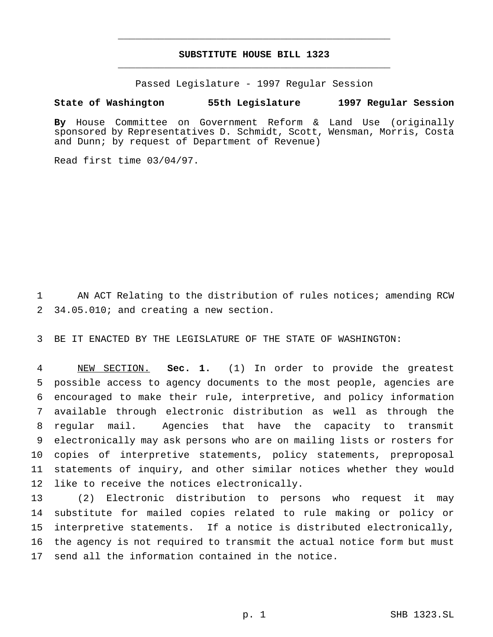# **SUBSTITUTE HOUSE BILL 1323** \_\_\_\_\_\_\_\_\_\_\_\_\_\_\_\_\_\_\_\_\_\_\_\_\_\_\_\_\_\_\_\_\_\_\_\_\_\_\_\_\_\_\_\_\_\_\_

\_\_\_\_\_\_\_\_\_\_\_\_\_\_\_\_\_\_\_\_\_\_\_\_\_\_\_\_\_\_\_\_\_\_\_\_\_\_\_\_\_\_\_\_\_\_\_

Passed Legislature - 1997 Regular Session

### **State of Washington 55th Legislature 1997 Regular Session**

**By** House Committee on Government Reform & Land Use (originally sponsored by Representatives D. Schmidt, Scott, Wensman, Morris, Costa and Dunn; by request of Department of Revenue)

Read first time 03/04/97.

 AN ACT Relating to the distribution of rules notices; amending RCW 34.05.010; and creating a new section.

BE IT ENACTED BY THE LEGISLATURE OF THE STATE OF WASHINGTON:

 NEW SECTION. **Sec. 1.** (1) In order to provide the greatest possible access to agency documents to the most people, agencies are encouraged to make their rule, interpretive, and policy information available through electronic distribution as well as through the regular mail. Agencies that have the capacity to transmit electronically may ask persons who are on mailing lists or rosters for copies of interpretive statements, policy statements, preproposal statements of inquiry, and other similar notices whether they would like to receive the notices electronically.

 (2) Electronic distribution to persons who request it may substitute for mailed copies related to rule making or policy or interpretive statements. If a notice is distributed electronically, the agency is not required to transmit the actual notice form but must send all the information contained in the notice.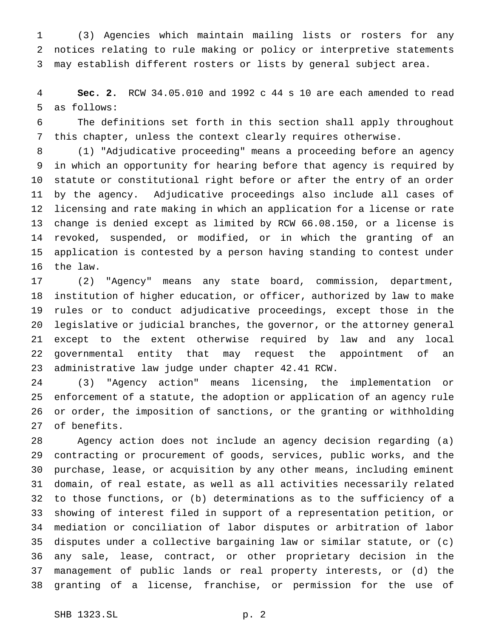(3) Agencies which maintain mailing lists or rosters for any notices relating to rule making or policy or interpretive statements may establish different rosters or lists by general subject area.

 **Sec. 2.** RCW 34.05.010 and 1992 c 44 s 10 are each amended to read as follows:

 The definitions set forth in this section shall apply throughout this chapter, unless the context clearly requires otherwise.

 (1) "Adjudicative proceeding" means a proceeding before an agency in which an opportunity for hearing before that agency is required by statute or constitutional right before or after the entry of an order by the agency. Adjudicative proceedings also include all cases of licensing and rate making in which an application for a license or rate change is denied except as limited by RCW 66.08.150, or a license is revoked, suspended, or modified, or in which the granting of an application is contested by a person having standing to contest under the law.

 (2) "Agency" means any state board, commission, department, institution of higher education, or officer, authorized by law to make rules or to conduct adjudicative proceedings, except those in the legislative or judicial branches, the governor, or the attorney general except to the extent otherwise required by law and any local governmental entity that may request the appointment of an administrative law judge under chapter 42.41 RCW.

 (3) "Agency action" means licensing, the implementation or enforcement of a statute, the adoption or application of an agency rule or order, the imposition of sanctions, or the granting or withholding of benefits.

 Agency action does not include an agency decision regarding (a) contracting or procurement of goods, services, public works, and the purchase, lease, or acquisition by any other means, including eminent domain, of real estate, as well as all activities necessarily related to those functions, or (b) determinations as to the sufficiency of a showing of interest filed in support of a representation petition, or mediation or conciliation of labor disputes or arbitration of labor disputes under a collective bargaining law or similar statute, or (c) any sale, lease, contract, or other proprietary decision in the management of public lands or real property interests, or (d) the granting of a license, franchise, or permission for the use of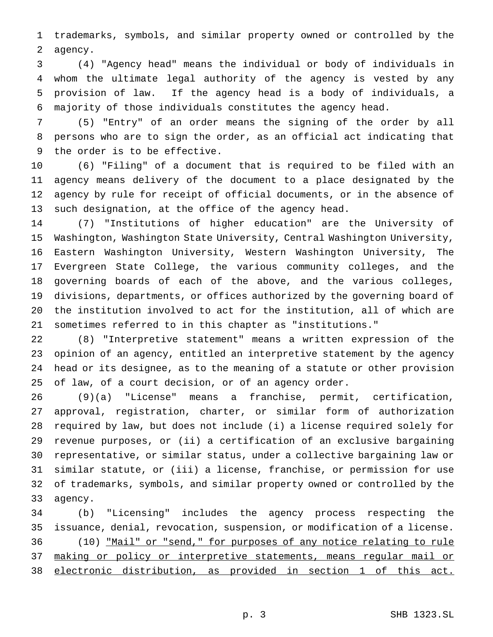trademarks, symbols, and similar property owned or controlled by the agency.

 (4) "Agency head" means the individual or body of individuals in whom the ultimate legal authority of the agency is vested by any provision of law. If the agency head is a body of individuals, a majority of those individuals constitutes the agency head.

 (5) "Entry" of an order means the signing of the order by all persons who are to sign the order, as an official act indicating that the order is to be effective.

 (6) "Filing" of a document that is required to be filed with an agency means delivery of the document to a place designated by the agency by rule for receipt of official documents, or in the absence of such designation, at the office of the agency head.

 (7) "Institutions of higher education" are the University of Washington, Washington State University, Central Washington University, Eastern Washington University, Western Washington University, The Evergreen State College, the various community colleges, and the governing boards of each of the above, and the various colleges, divisions, departments, or offices authorized by the governing board of the institution involved to act for the institution, all of which are sometimes referred to in this chapter as "institutions."

 (8) "Interpretive statement" means a written expression of the opinion of an agency, entitled an interpretive statement by the agency head or its designee, as to the meaning of a statute or other provision of law, of a court decision, or of an agency order.

 (9)(a) "License" means a franchise, permit, certification, approval, registration, charter, or similar form of authorization required by law, but does not include (i) a license required solely for revenue purposes, or (ii) a certification of an exclusive bargaining representative, or similar status, under a collective bargaining law or similar statute, or (iii) a license, franchise, or permission for use of trademarks, symbols, and similar property owned or controlled by the agency.

 (b) "Licensing" includes the agency process respecting the issuance, denial, revocation, suspension, or modification of a license. (10) "Mail" or "send," for purposes of any notice relating to rule 37 making or policy or interpretive statements, means regular mail or electronic distribution, as provided in section 1 of this act.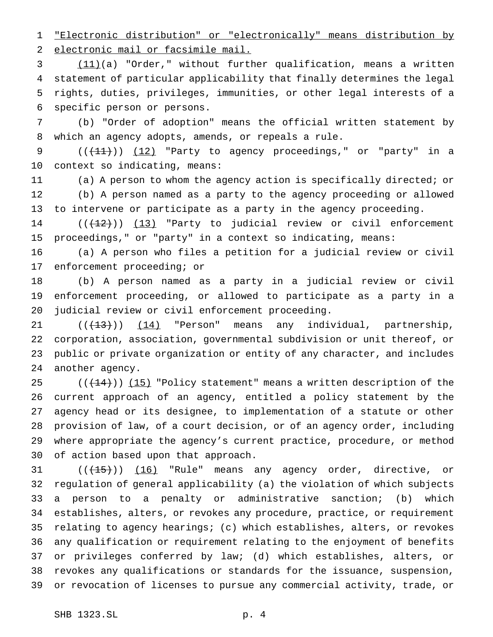"Electronic distribution" or "electronically" means distribution by electronic mail or facsimile mail.

 (11)(a) "Order," without further qualification, means a written statement of particular applicability that finally determines the legal rights, duties, privileges, immunities, or other legal interests of a specific person or persons.

 (b) "Order of adoption" means the official written statement by which an agency adopts, amends, or repeals a rule.

9  $((+11))$   $(12)$  "Party to agency proceedings," or "party" in a context so indicating, means:

 (a) A person to whom the agency action is specifically directed; or (b) A person named as a party to the agency proceeding or allowed to intervene or participate as a party in the agency proceeding.

 $((+2)^{n})$   $(13)$  "Party to judicial review or civil enforcement proceedings," or "party" in a context so indicating, means:

 (a) A person who files a petition for a judicial review or civil enforcement proceeding; or

 (b) A person named as a party in a judicial review or civil enforcement proceeding, or allowed to participate as a party in a judicial review or civil enforcement proceeding.

 $((+13))$   $(14)$  "Person" means any individual, partnership, corporation, association, governmental subdivision or unit thereof, or public or private organization or entity of any character, and includes another agency.

 $((+14))$   $(15)$  "Policy statement" means a written description of the current approach of an agency, entitled a policy statement by the agency head or its designee, to implementation of a statute or other provision of law, of a court decision, or of an agency order, including where appropriate the agency's current practice, procedure, or method of action based upon that approach.

31 (( $\left(\frac{15}{15}\right)$ ) (16) "Rule" means any agency order, directive, or regulation of general applicability (a) the violation of which subjects a person to a penalty or administrative sanction; (b) which establishes, alters, or revokes any procedure, practice, or requirement relating to agency hearings; (c) which establishes, alters, or revokes any qualification or requirement relating to the enjoyment of benefits or privileges conferred by law; (d) which establishes, alters, or revokes any qualifications or standards for the issuance, suspension, or revocation of licenses to pursue any commercial activity, trade, or